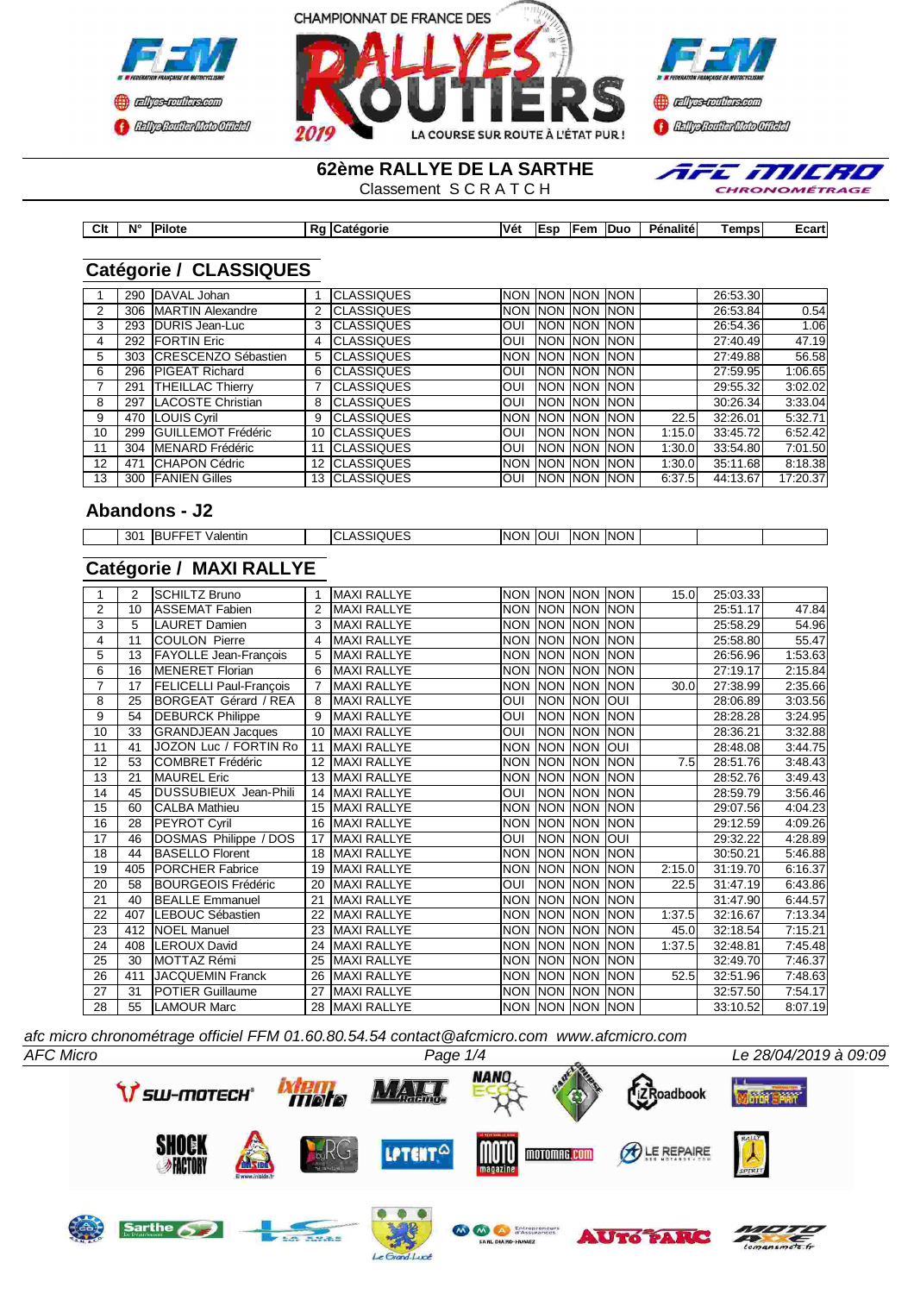





**62ème RALLYE DE LA SARTHE**

Classement S C R A T C H



| Clt | $N^{\circ}$ | <b>Pilote</b> | Ro | <b>ICatégorie</b> | Vét | <b>IESD</b> | lFem | <b>IDuo</b> | Pénalitéi | <b>Temps</b> | ≞cart⊺ |
|-----|-------------|---------------|----|-------------------|-----|-------------|------|-------------|-----------|--------------|--------|

## **Catégorie / CLASSIQUES**

|                 | 290 | DAVAL Johan             |    | <b>CLASSIQUES</b>  |            |                  | INON INON INON INON   |             |             | 26:53.30 |          |
|-----------------|-----|-------------------------|----|--------------------|------------|------------------|-----------------------|-------------|-------------|----------|----------|
| 2               |     | 306 MARTIN Alexandre    |    | <b>CLASSIQUES</b>  |            |                  | Inon Inon Inon Inon   |             |             | 26:53.84 | 0.54     |
| 3               | 293 | DURIS Jean-Luc          | 3  | <b>CLASSIQUES</b>  | <b>OUI</b> |                  | INON INON INON        |             |             | 26:54.36 | 1.06     |
| 4               | 292 | <b>FORTIN Eric</b>      | 4  | <b>CLASSIQUES</b>  | <b>OUI</b> |                  | <b>INON INON INON</b> |             |             | 27:40.49 | 47.19    |
| 5               |     | 303 CRESCENZO Sébastien | 5  | <b>CLASSIQUES</b>  |            |                  | Inon Inon Inon Inon   |             |             | 27:49.88 | 56.58    |
| 6               |     | 296 PIGEAT Richard      | 6  | <b>CLASSIQUES</b>  | <b>OUI</b> |                  | <b>INON INON INON</b> |             |             | 27:59.95 | 1:06.65  |
|                 | 291 | <b>THEILLAC Thierry</b> |    | <b>CLASSIQUES</b>  | <b>OUI</b> |                  | <b>INON INON INON</b> |             |             | 29:55.32 | 3:02.02  |
| 8               | 297 | LACOSTE Christian       | 8  | <b>CLASSIQUES</b>  | <b>OUI</b> | <b>INON INON</b> |                       | <b>INON</b> |             | 30:26.34 | 3:33.04  |
| 9               | 470 | <b>LOUIS Cyril</b>      | 9  | <b>CLASSIQUES</b>  |            |                  | Inon Inon Inon Inon-  |             | <b>22.5</b> | 32:26.01 | 5:32.71  |
| 10              |     | 299 GUILLEMOT Frédéric  | 10 | <b>ICLASSIQUES</b> | <b>OUI</b> |                  | <b>INON INON INON</b> |             | 1:15.0      | 33:45.72 | 6:52.42  |
| 11              | 304 | <b>MENARD</b> Frédéric  | 11 | <b>ICLASSIQUES</b> | <b>OUI</b> |                  | <b>INON INON</b>      | <b>INON</b> | 1:30.0      | 33:54.80 | 7:01.50  |
| 12 <sup>°</sup> | 471 | <b>ICHAPON Cédric</b>   | 12 | <b>CLASSIQUES</b>  |            |                  | Inon Inon Inon Inon   |             | 1:30.0      | 35:11.68 | 8:18.38  |
| 13              |     | 300 FANIEN Gilles       |    | 13 CLASSIQUES      | <b>OUI</b> |                  | <b>INON INON</b>      | <b>INON</b> | 6:37.5      | 44:13.67 | 17:20.37 |
|                 |     |                         |    |                    |            |                  |                       |             |             |          |          |

## **Abandons - J2**

| .<br>--<br>IN0<br>וסו<br>IN0<br>י ער<br>INI)<br>--- |     |                  |              |     |     |  |  |
|-----------------------------------------------------|-----|------------------|--------------|-----|-----|--|--|
| ___<br>.                                            | 301 | aientir<br>ו וחי | ונ. יור<br>∼ | 'NN | 'NN |  |  |

# **Catégorie / MAXI RALLYE**

|                | 2   | <b>SCHILTZ Bruno</b>           |                 | <b>MAXI RALLYE</b> |                |                  | INON INON INON INON   |            | 15.0   | 25:03.33 |         |
|----------------|-----|--------------------------------|-----------------|--------------------|----------------|------------------|-----------------------|------------|--------|----------|---------|
| $\overline{2}$ | 10  | <b>ASSEMAT Fabien</b>          | 2               | <b>MAXI RALLYE</b> | <b>NON</b>     | <b>INON NON</b>  |                       | <b>NON</b> |        | 25:51.17 | 47.84   |
| 3              | 5   | LAURET Damien                  |                 | <b>MAXI RALLYE</b> |                |                  | NON NON NON NON       |            |        | 25:58.29 | 54.96   |
| 4              | 11  | <b>COULON Pierre</b>           | 4               | <b>MAXI RALLYE</b> | <b>NON</b>     |                  | <b>INON INON INON</b> |            |        | 25:58.80 | 55.47   |
| $\overline{5}$ | 13  | <b>FAYOLLE Jean-François</b>   | 5               | <b>MAXI RALLYE</b> | <b>NON</b>     | <b>NON NON</b>   |                       | NON        |        | 26:56.96 | 1:53.63 |
| 6              | 16  | <b>MENERET Florian</b>         | 6               | <b>MAXI RALLYE</b> | <b>NON</b>     |                  | <b>NON NON NON</b>    |            |        | 27:19.17 | 2:15.84 |
| $\overline{7}$ | 17  | <b>FELICELLI Paul-François</b> |                 | <b>MAXI RALLYE</b> | <b>NON</b>     | NON NON          |                       | <b>NON</b> | 30.0   | 27:38.99 | 2:35.66 |
| 8              | 25  | BORGEAT Gérard / REA           | 8               | <b>MAXI RALLYE</b> | OUI            | <b>NON NON</b>   |                       | loui       |        | 28:06.89 | 3:03.56 |
| 9              | 54  | <b>DEBURCK Philippe</b>        | 9               | <b>MAXI RALLYE</b> | <b>OUI</b>     | NON NON          |                       | <b>NON</b> |        | 28:28.28 | 3:24.95 |
| 10             | 33  | <b>GRANDJEAN Jacques</b>       | 10              | <b>MAXI RALLYE</b> | OUI            | NON NON          |                       | NON        |        | 28:36.21 | 3:32.88 |
| 11             | 41  | JOZON Luc / FORTIN Ro          | 11              | <b>MAXI RALLYE</b> | <b>NON</b>     | NON NON          |                       | loui       |        | 28:48.08 | 3:44.75 |
| 12             | 53  | <b>COMBRET Frédéric</b>        | 12 <sup>2</sup> | <b>MAXI RALLYE</b> | <b>NON</b>     | NON NON          |                       | <b>NON</b> | 7.5    | 28:51.76 | 3:48.43 |
| 13             | 21  | <b>MAUREL Eric</b>             | 13              | <b>MAXI RALLYE</b> | <b>NON</b>     |                  | <b>NON NON NON</b>    |            |        | 28:52.76 | 3:49.43 |
| 14             | 45  | <b>DUSSUBIEUX Jean-Phili</b>   | 14              | <b>MAXI RALLYE</b> | OUI            | NON NON          |                       | <b>NON</b> |        | 28:59.79 | 3:56.46 |
| 15             | 60  | <b>CALBA Mathieu</b>           | 15              | <b>MAXI RALLYE</b> | <b>NON</b>     |                  | <b>NON NON NON</b>    |            |        | 29:07.56 | 4:04.23 |
| 16             | 28  | PEYROT Cyril                   | 16              | <b>MAXI RALLYE</b> | <b>NON</b>     | <b>INON INON</b> |                       | <b>NON</b> |        | 29:12.59 | 4:09.26 |
| 17             | 46  | DOSMAS Philippe / DOS          | 17              | <b>MAXI RALLYE</b> | $\overline{O}$ | NON NON          |                       | loui       |        | 29:32.22 | 4:28.89 |
| 18             | 44  | <b>BASELLO Florent</b>         | 18              | <b>MAXI RALLYE</b> | <b>NON</b>     |                  | <b>NON NON NON</b>    |            |        | 30:50.21 | 5:46.88 |
| 19             | 405 | <b>PORCHER Fabrice</b>         | 19              | <b>MAXI RALLYE</b> | <b>NON</b>     |                  | NON NON NON           |            | 2:15.0 | 31:19.70 | 6:16.37 |
| 20             | 58  | <b>BOURGEOIS Frédéric</b>      | 20              | <b>MAXI RALLYE</b> | <b>NO</b>      |                  | <b>NON NON NON</b>    |            | 22.5   | 31:47.19 | 6:43.86 |
| 21             | 40  | <b>BEALLE Emmanuel</b>         | 21              | <b>MAXI RALLYE</b> | <b>NON</b>     |                  | NON NON NON           |            |        | 31:47.90 | 6:44.57 |
| 22             | 407 | LEBOUC Sébastien               | 22              | <b>MAXI RALLYE</b> | <b>NON</b>     |                  | NON NON NON           |            | 1:37.5 | 32:16.67 | 7:13.34 |
| 23             | 412 | <b>NOEL</b> Manuel             | 23              | <b>MAXI RALLYE</b> | <b>NON</b>     |                  | NON NON NON           |            | 45.0   | 32:18.54 | 7:15.21 |
| 24             | 408 | <b>LEROUX David</b>            | 24              | <b>MAXI RALLYE</b> | <b>NON</b>     |                  | <b>NON NON NON</b>    |            | 1:37.5 | 32:48.81 | 7:45.48 |
| 25             | 30  | MOTTAZ Rémi                    | 25              | <b>MAXI RALLYE</b> | <b>NON</b>     | <b>NON NON</b>   |                       | <b>NON</b> |        | 32:49.70 | 7:46.37 |
| 26             | 411 | <b>JACQUEMIN Franck</b>        | 26              | <b>MAXI RALLYE</b> | <b>NON</b>     | NON NON          |                       | <b>NON</b> | 52.5   | 32:51.96 | 7:48.63 |
| 27             | 31  | <b>POTIER Guillaume</b>        | 27              | <b>MAXI RALLYE</b> | <b>NON</b>     |                  | <b>NON NON NON</b>    |            |        | 32:57.50 | 7:54.17 |
| 28             | 55  | <b>LAMOUR Marc</b>             | 28              | MAXI RALLYE        |                |                  | NON NON NON NON       |            |        | 33:10.52 | 8:07.19 |
|                |     |                                |                 |                    |                |                  |                       |            |        |          |         |

*afc micro chronométrage officiel FFM 01.60.80.54.54 contact@afcmicro.com www.afcmicro.com*

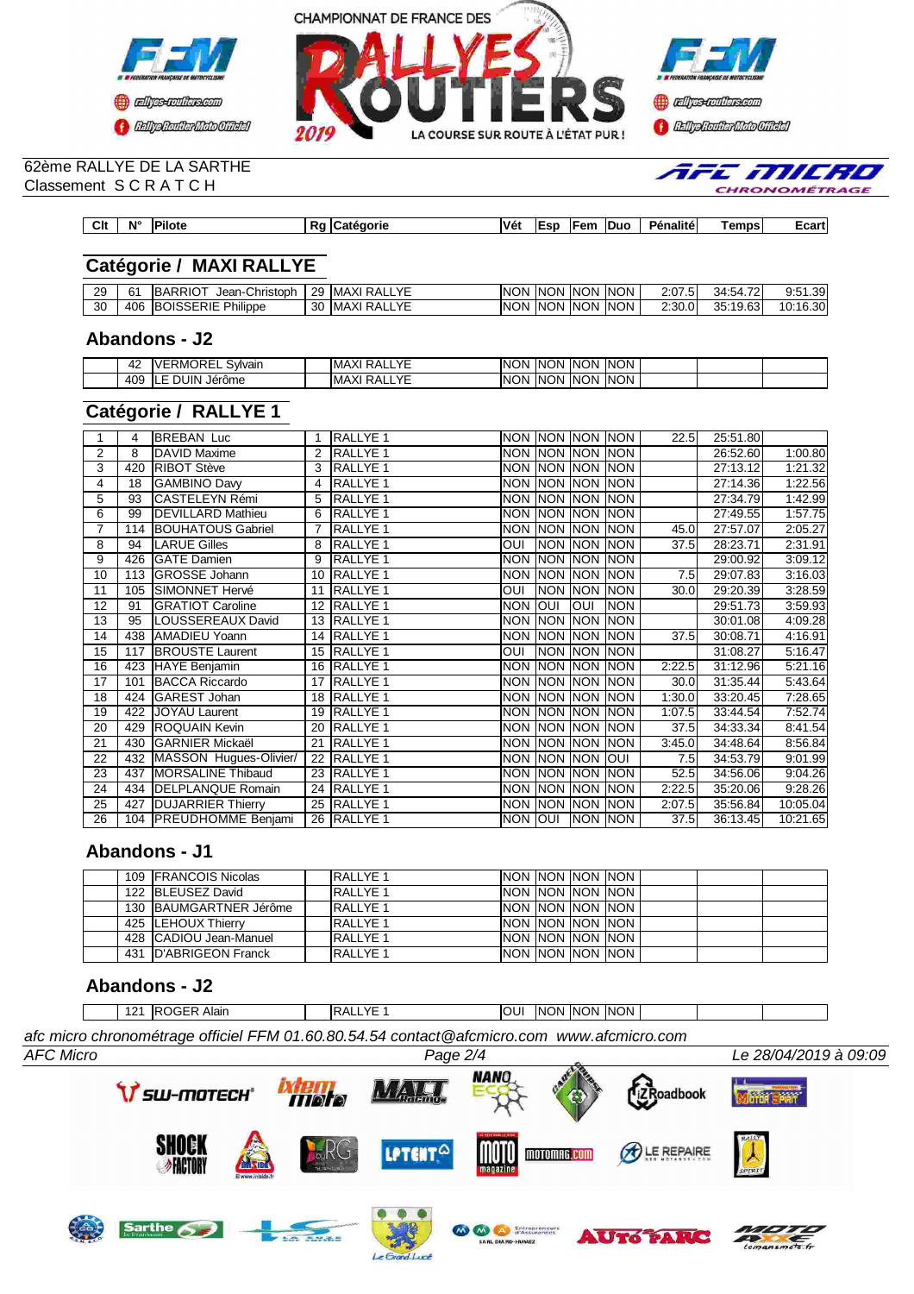



#### 62ème RALLYE DE LA SARTHE Classement S C R A T C H

| <b>CHRONOMÉTRAG</b> |
|---------------------|
|                     |
|                     |
|                     |

AFE MILRO

| <b>Catégorie / MAXI RALLYE</b> |
|--------------------------------|

| 29 | 61  | <b>BARRIOT</b><br>Christoph<br>Jean-( | 29 | RALLYE<br><b>IMAXI</b> | <b>NON</b> | <b>INON</b> | <b>NON</b>  | <b>INON</b> | 2:07.5 | $\overline{\phantom{a}}$<br>34:54.72 | 0.51<br>ا39.،<br>ັບເປ |
|----|-----|---------------------------------------|----|------------------------|------------|-------------|-------------|-------------|--------|--------------------------------------|-----------------------|
| 30 | 406 | <b>BOISSERIE</b><br>Philippe          | 30 | RALLYE<br><b>IMAXI</b> | <b>NON</b> | <b>INON</b> | <b>INON</b> | <b>INON</b> | 2:30.0 | 35.10<br>19.63<br><u>ບບ</u>          | 10:16.30              |

**Clt N° Pilote Rg Catégorie Vét Esp Fem Duo Pénalité Temps Ecart**

### **Abandons - J2**

| $\epsilon$<br>$\mathbf{u}$ | ،M۲<br>⊣ או<br>$\mathcal{L}$<br>Svlvain<br>$\sim$ $-$ | $\sqrt{r}$<br>, ,<br>I MA<br>ורי<br>.           | ING<br>)N | ΙN<br>IN( | INO'<br>ΙN | <b>INON</b> |  |  |
|----------------------------|-------------------------------------------------------|-------------------------------------------------|-----------|-----------|------------|-------------|--|--|
| $A \cap Q$<br>ຯ∪ພ          | <b>JUIN</b><br>. .<br>Jerôme                          | $\sqrt{r}$<br>$\mathbf{v}$<br>: MP<br>¬∧.<br>-- | IN(<br>)N | INK<br>'N | ∣NO!<br>'N | <b>INON</b> |  |  |

## **Catégorie / RALLYE 1**

|                 | 4   | <b>BREBAN Luc</b>          |                | <b>RALLYE 1</b>     |            |                | NON NON NON NON       |            | 22.5              | 25:51.80 |          |
|-----------------|-----|----------------------------|----------------|---------------------|------------|----------------|-----------------------|------------|-------------------|----------|----------|
| 2               | 8   | DAVID Maxime               | $\overline{2}$ | <b>RALLYE 1</b>     | <b>NON</b> |                | <b>INON INON INON</b> |            |                   | 26:52.60 | 1:00.80  |
| 3               | 420 | <b>RIBOT Stève</b>         | 3              | <b>RALLYE 1</b>     |            |                | NON INON INON INON    |            |                   | 27:13.12 | 1:21.32  |
| 4               | 18  | <b>GAMBINO Davy</b>        | 4              | RALLYE <sub>1</sub> |            |                | NON NON NON NON       |            |                   | 27:14.36 | 1:22.56  |
| 5               | 93  | <b>CASTELEYN Rémi</b>      |                | RALLYE <sub>1</sub> |            |                | NON NON NON NON       |            |                   | 27:34.79 | 1:42.99  |
| 6               | 99  | <b>DEVILLARD Mathieu</b>   | 6              | <b>RALLYE 1</b>     | <b>NON</b> |                | NON NON NON           |            |                   | 27:49.55 | 1:57.75  |
| 7               | 114 | <b>BOUHATOUS Gabriel</b>   |                | RALLYE <sub>1</sub> | <b>NON</b> |                | <b>NON NON NON</b>    |            | 45.0              | 27:57.07 | 2:05.27  |
| 8               | 94  | <b>LARUE Gilles</b>        | 8              | <b>RALLYE 1</b>     | <b>OUI</b> |                | NON NON NON           |            | 37.5              | 28:23.71 | 2:31.91  |
| 9               | 426 | <b>GATE Damien</b>         | 9              | RALLYE 1            | <b>NON</b> | NON NON        |                       | <b>NON</b> |                   | 29:00.92 | 3:09.12  |
| 10              | 113 | <b>GROSSE Johann</b>       | 10             | <b>RALLYE 1</b>     | <b>NON</b> | <b>NON NON</b> |                       | <b>NON</b> | 7.5               | 29:07.83 | 3:16.03  |
| 11              | 105 | SIMONNET Hervé             | 11             | <b>RALLYE 1</b>     | OUI        |                | NON NON               | <b>NON</b> | 30.0              | 29:20.39 | 3:28.59  |
| 12              | 91  | <b>GRATIOT Caroline</b>    |                | 12 RALLYE 1         | <b>NON</b> | loui           | <b>OUI</b>            | <b>NON</b> |                   | 29:51.73 | 3:59.93  |
| $\overline{13}$ | 95  | LOUSSEREAUX David          |                | 13 RALLYE 1         |            |                | NON NON NON NON       |            |                   | 30:01.08 | 4:09.28  |
| 14              | 438 | <b>AMADIEU Yoann</b>       | 14             | <b>RALLYE 1</b>     | <b>NON</b> |                | NON NON NON           |            | 37.5              | 30:08.71 | 4:16.91  |
| 15              | 117 | <b>BROUSTE Laurent</b>     |                | 15 RALLYE 1         | <b>OUI</b> |                | NON NON NON           |            |                   | 31:08.27 | 5:16.47  |
| 16              | 423 | HAYE Benjamin              | 16             | <b>RALLYE 1</b>     | <b>NON</b> |                | NON NON               | <b>NON</b> | 2:22.5            | 31:12.96 | 5:21.16  |
| 17              | 101 | <b>BACCA Riccardo</b>      | 17             | <b>RALLYE 1</b>     |            |                | NON NON NON NON       |            | 30.0 <sub>l</sub> | 31:35.44 | 5:43.64  |
| 18              |     | 424 GAREST Johan           | 18             | <b>RALLYE 1</b>     |            |                | NON NON NON NON       |            | 1:30.0            | 33:20.45 | 7:28.65  |
| 19              | 422 | JOYAU Laurent              | 19             | <b>RALLYE 1</b>     |            |                | NON NON NON NON       |            | 1:07.5            | 33:44.54 | 7:52.74  |
| 20              | 429 | <b>ROQUAIN Kevin</b>       | 20             | RALLYE <sub>1</sub> | <b>NON</b> |                | <b>NON NON NON</b>    |            | 37.5              | 34:33.34 | 8:41.54  |
| 21              | 430 | <b>GARNIER Mickaël</b>     | 21             | <b>RALLYE 1</b>     | <b>NON</b> |                | NON NON NON           |            | 3:45.0            | 34:48.64 | 8:56.84  |
| 22              |     | 432 MASSON Hugues-Olivier/ | 22             | <b>RALLYE 1</b>     | <b>NON</b> | <b>NON NON</b> |                       | lour       | 7.5               | 34:53.79 | 9:01.99  |
| 23              | 437 | <b>MORSALINE Thibaud</b>   |                | 23 RALLYE 1         | <b>NON</b> | NON NON        |                       | <b>NON</b> | 52.5              | 34:56.06 | 9:04.26  |
| 24              | 434 | DELPLANQUE Romain          |                | 24 RALLYE 1         |            |                | NON NON NON NON       |            | 2:22.5            | 35:20.06 | 9:28.26  |
| 25              | 427 | <b>DUJARRIER Thierry</b>   | 25             | <b>RALLYE 1</b>     | <b>NON</b> |                | <b>NON NON NON</b>    |            | 2:07.5            | 35:56.84 | 10:05.04 |
| 26              |     | 104 PREUDHOMME Benjami     |                | 26 RALLYE 1         | NON JOUI   |                | NON NON               |            | 37.5              | 36:13.45 | 10:21.65 |
|                 |     |                            |                |                     |            |                |                       |            |                   |          |          |

## **Abandons - J1**

|  | 109 FRANCOIS Nicolas   | <b>RALLYE 1</b>  | INON INON INON INON        |  |  |  |
|--|------------------------|------------------|----------------------------|--|--|--|
|  | 122 BLEUSEZ David      | <b>RALLYE 1</b>  | INON INON INON INON        |  |  |  |
|  | 130 BAUMGARTNER Jérôme | <b>IRALLYE 1</b> | INON INON INON INON I      |  |  |  |
|  | 425 ILEHOUX Thierry    | <b>RALLYE 1</b>  | INON INON INON INON        |  |  |  |
|  | 428 CADIOU Jean-Manuel | <b>RALLYE 1</b>  | <b>INON INON INON INON</b> |  |  |  |
|  | 431 D'ABRIGEON Franck  | <b>IRALLYE 1</b> | INON INON INON INON        |  |  |  |

## **Abandons - J2**

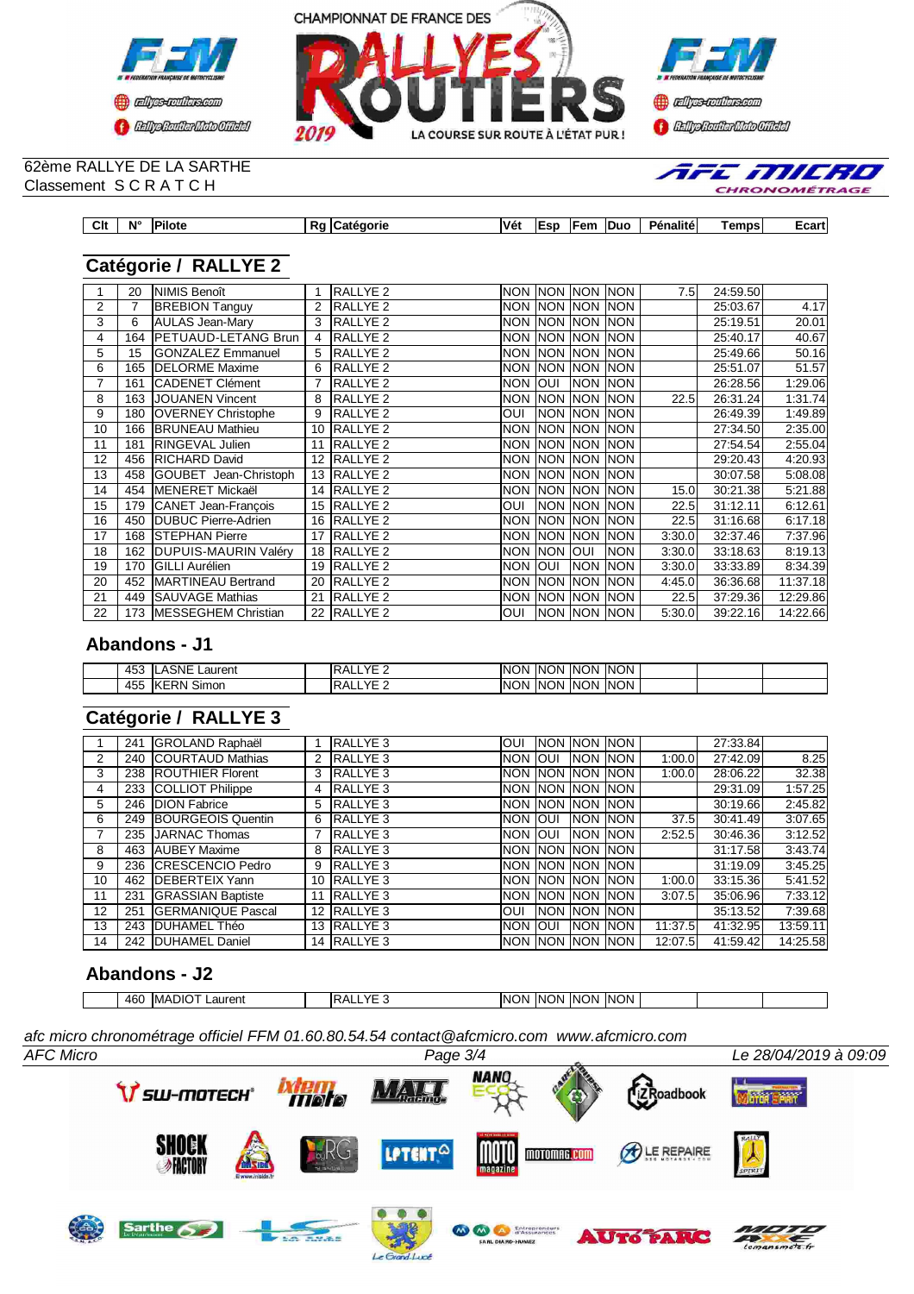



#### 62ème RALLYE DE LA SARTHE Classement S C R A T C H

| AFE MILH |  |
|----------|--|

| Clt | $N^{\circ}$ | Pilote | . г. | eaoric<br>лтг | نفلا | .er<br>ΙE<br>м. | ⊡em | Duc | .<br>Pénalite | ⊺emps | ⊸⊌a⊪u |
|-----|-------------|--------|------|---------------|------|-----------------|-----|-----|---------------|-------|-------|

# **Catégorie / RALLYE 2**

|    | 20  | <b>NIMIS Benoît</b>        |    | <b>RALLYE 2</b>     |            |                  | Inon Inon Inon Inon   |             | 7.5               | 24:59.50 |          |
|----|-----|----------------------------|----|---------------------|------------|------------------|-----------------------|-------------|-------------------|----------|----------|
| 2  | 7   | <b>BREBION Tanguy</b>      |    | RALLYE <sub>2</sub> |            |                  | NON NON NON           | <b>NON</b>  |                   | 25:03.67 | 4.17     |
| 3  | 6   | <b>AULAS Jean-Mary</b>     | 3  | RALLYE <sub>2</sub> |            |                  | NON INON INON         | <b>INON</b> |                   | 25:19.51 | 20.01    |
| 4  | 164 | <b>PETUAUD-LETANG Brun</b> |    | RALLYE <sub>2</sub> | <b>NON</b> |                  | NON NON               | <b>INON</b> |                   | 25:40.17 | 40.67    |
| 5  | 15  | <b>GONZALEZ Emmanuel</b>   | 5  | <b>RALLYE 2</b>     |            |                  | NON NON NON NON       |             |                   | 25:49.66 | 50.16    |
| 6  | 165 | <b>IDELORME</b> Maxime     |    | RALLYE <sub>2</sub> |            |                  | NON INON INON         | <b>INON</b> |                   | 25:51.07 | 51.57    |
| 7  | 161 | <b>CADENET Clément</b>     |    | RALLYE <sub>2</sub> | <b>NON</b> | loui             | <b>NON NON</b>        |             |                   | 26:28.56 | 1:29.06  |
| 8  | 163 | <b>JOUANEN Vincent</b>     | 8  | <b>RALLYE 2</b>     | <b>NON</b> |                  | <b>INON INON INON</b> |             | 22.5              | 26:31.24 | 1:31.74  |
| 9  |     | 180 OVERNEY Christophe     | 9  | <b>RALLYE 2</b>     | lUO        |                  | <b>INON INON INON</b> |             |                   | 26:49.39 | 1:49.89  |
| 10 | 166 | <b>BRUNEAU Mathieu</b>     | 10 | <b>RALLYE 2</b>     | <b>NON</b> |                  | <b>INON INON</b>      | <b>INON</b> |                   | 27:34.50 | 2:35.00  |
| 11 | 181 | <b>RINGEVAL Julien</b>     | 11 | <b>RALLYE 2</b>     | <b>NON</b> |                  | <b>INON INON INON</b> |             |                   | 27:54.54 | 2:55.04  |
| 12 |     | 456 RICHARD David          |    | 12 RALLYE 2         |            |                  | NON INON INON         | <b>NON</b>  |                   | 29:20.43 | 4:20.93  |
| 13 | 458 | GOUBET Jean-Christoph      | 13 | <b>RALLYE 2</b>     | <b>NON</b> | <b>INON INON</b> |                       | <b>INON</b> |                   | 30:07.58 | 5:08.08  |
| 14 |     | 454 IMENERET Mickaël       | 14 | <b>RALLYE 2</b>     | <b>NON</b> |                  | <b>INON INON</b>      | <b>INON</b> | 15.0 <sub>l</sub> | 30:21.38 | 5:21.88  |
| 15 |     | 179 CANET Jean-Francois    |    | 15 RALLYE 2         | <b>OUI</b> |                  | NON NON NON           |             | 22.5              | 31:12.11 | 6:12.61  |
| 16 | 450 | <b>DUBUC Pierre-Adrien</b> | 16 | <b>RALLYE 2</b>     | <b>NON</b> | <b>INON INON</b> |                       | <b>INON</b> | 22.5              | 31:16.68 | 6:17.18  |
| 17 |     | 168 STEPHAN Pierre         | 17 | <b>RALLYE 2</b>     | <b>NON</b> | <b>INON</b>      | <b>NON</b>            | <b>INON</b> | 3:30.0            | 32:37.46 | 7:37.96  |
| 18 |     | 162 DUPUIS-MAURIN Valéry   | 18 | <b>RALLYE 2</b>     |            | NON INON IOUI    |                       | <b>NON</b>  | 3:30.0            | 33:18.63 | 8:19.13  |
| 19 | 170 | <b>GILLI Aurélien</b>      | 19 | <b>RALLYE 2</b>     | <b>NON</b> | loui             | <b>NON</b>            | <b>INON</b> | 3:30.0            | 33:33.89 | 8:34.39  |
| 20 |     | 452 MARTINEAU Bertrand     | 20 | <b>RALLYE 2</b>     | <b>NON</b> | <b>NON</b>       | <b>NON</b>            | <b>NON</b>  | 4:45.0            | 36:36.68 | 11:37.18 |
| 21 |     | 449 SAUVAGE Mathias        | 21 | <b>RALLYE 2</b>     |            |                  | NON NON NON NON       |             | 22.5              | 37:29.36 | 12:29.86 |
| 22 |     | 173   MESSEGHEM Christian  |    | 22 RALLYE 2         | <b>OUI</b> |                  | <b>INON INON INON</b> |             | 5:30.0            | 39:22.16 | 14:22.66 |

## **Abandons - J1**

| 457<br>ຯ∪ພ | <b>\SNE</b><br>Laurent<br>LT      | VE<br>-<br>YAL.<br>$\bf{v}$<br>. . <i>.</i> | INC<br>וחר | -INN<br>וחר | <b>INON</b> | <b>INON</b>        |  |  |
|------------|-----------------------------------|---------------------------------------------|------------|-------------|-------------|--------------------|--|--|
| 45F<br>ຯ∪ພ | <b>.</b><br><b>IKERN</b><br>Simon | VE<br>YAL.<br>.<br>--                       | INC<br>٦M  | IN)<br>ገለነ  | <b>INON</b> | <b>INON</b><br>ישו |  |  |

# **Catégorie / RALLYE 3**

|                | 241 | <b>GROLAND Raphaël</b>     |    | RALLYE <sub>3</sub> | <b>OUI</b>      | <b>INON INON INON</b> |            |             |         | 27:33.84 |          |
|----------------|-----|----------------------------|----|---------------------|-----------------|-----------------------|------------|-------------|---------|----------|----------|
| 2              |     | 240 COURTAUD Mathias       |    | <b>RALLYE 3</b>     | <b>NON</b>      | loui                  | <b>NON</b> | <b>INON</b> | 1:00.0  | 27:42.09 | 8.25     |
| 3              |     | 238 ROUTHIER Florent       | 3  | RALLYE 3            |                 | <b>NON NON NON</b>    |            | <b>INON</b> | 1:00.0  | 28:06.22 | 32.38    |
| 4              |     | 233 COLLIOT Philippe       | 4  | RALLYE <sub>3</sub> |                 | INON INON INON        |            | <b>INON</b> |         | 29:31.09 | 1:57.25  |
| 5              |     | 246 DION Fabrice           | 5  | RALLYE <sub>3</sub> |                 | Inon Inon Inon Inon   |            |             |         | 30:19.66 | 2:45.82  |
| 6              |     | 249 BOURGEOIS Quentin      | 6  | <b>RALLYE 3</b>     | <b>NON JOUL</b> |                       | <b>NON</b> | <b>INON</b> | 37.5    | 30:41.49 | 3:07.65  |
| $\overline{7}$ |     | 235 JARNAC Thomas          |    | RALLYE <sub>3</sub> | NON JOUI        |                       | <b>NON</b> | <b>INON</b> | 2:52.5  | 30:46.36 | 3:12.52  |
| 8              |     | 463 AUBEY Maxime           | 8  | RALLYE 3            |                 | INON INON INON        |            | <b>INON</b> |         | 31:17.58 | 3.43.74  |
| 9              |     | 236 CRESCENCIO Pedro       | 9  | RALLYE 3            |                 | Inon Inon Inon Inon   |            |             |         | 31:19.09 | 3:45.25  |
| 10             |     | 462 <b>IDEBERTEIX</b> Yann |    | 10 RALLYE 3         |                 | Inon Inon Inon Inon   |            |             | 1:00.0  | 33:15.36 | 5:41.52  |
| 11             | 231 | <b>GRASSIAN Baptiste</b>   | 11 | RALLYE <sub>3</sub> |                 | Inon Inon Inon Inon   |            |             | 3:07.5  | 35:06.96 | 7:33.12  |
| 12             | 251 | <b>GERMANIQUE Pascal</b>   | 12 | RALLYE 3            | <b>OUI</b>      | <b>INON INON</b>      |            | <b>INON</b> |         | 35:13.52 | 7:39.68  |
| 13             |     | 243 IDUHAMEL Théo          |    | 13 RALLYE 3         | <b>NON JOUL</b> |                       | <b>NON</b> | <b>INON</b> | 11:37.5 | 41:32.95 | 13:59.11 |
| 14             | 242 | <b>IDUHAMEL Daniel</b>     |    | 14 RALLYE 3         |                 | INON INON INON        |            | <b>INON</b> | 12:07.5 | 41:59.42 | 14:25.58 |

## **Abandons - J2**

| $\cdots$<br><b>INON</b><br>$N \cap$<br>$\sqrt{r}$<br>ABI<br><b>INON</b><br><b>MADK</b><br>DЛ<br>эN<br>INO<br>`NC<br>aurent<br>-<br>ᇺ<br>᠇ᡃᠣ<br>LY.<br>. .<br>. . |  |  |  |  |  |
|------------------------------------------------------------------------------------------------------------------------------------------------------------------|--|--|--|--|--|
|                                                                                                                                                                  |  |  |  |  |  |

*afc micro chronométrage officiel FFM 01.60.80.54.54 contact@afcmicro.com www.afcmicro.com*

Le Grand-Lucé